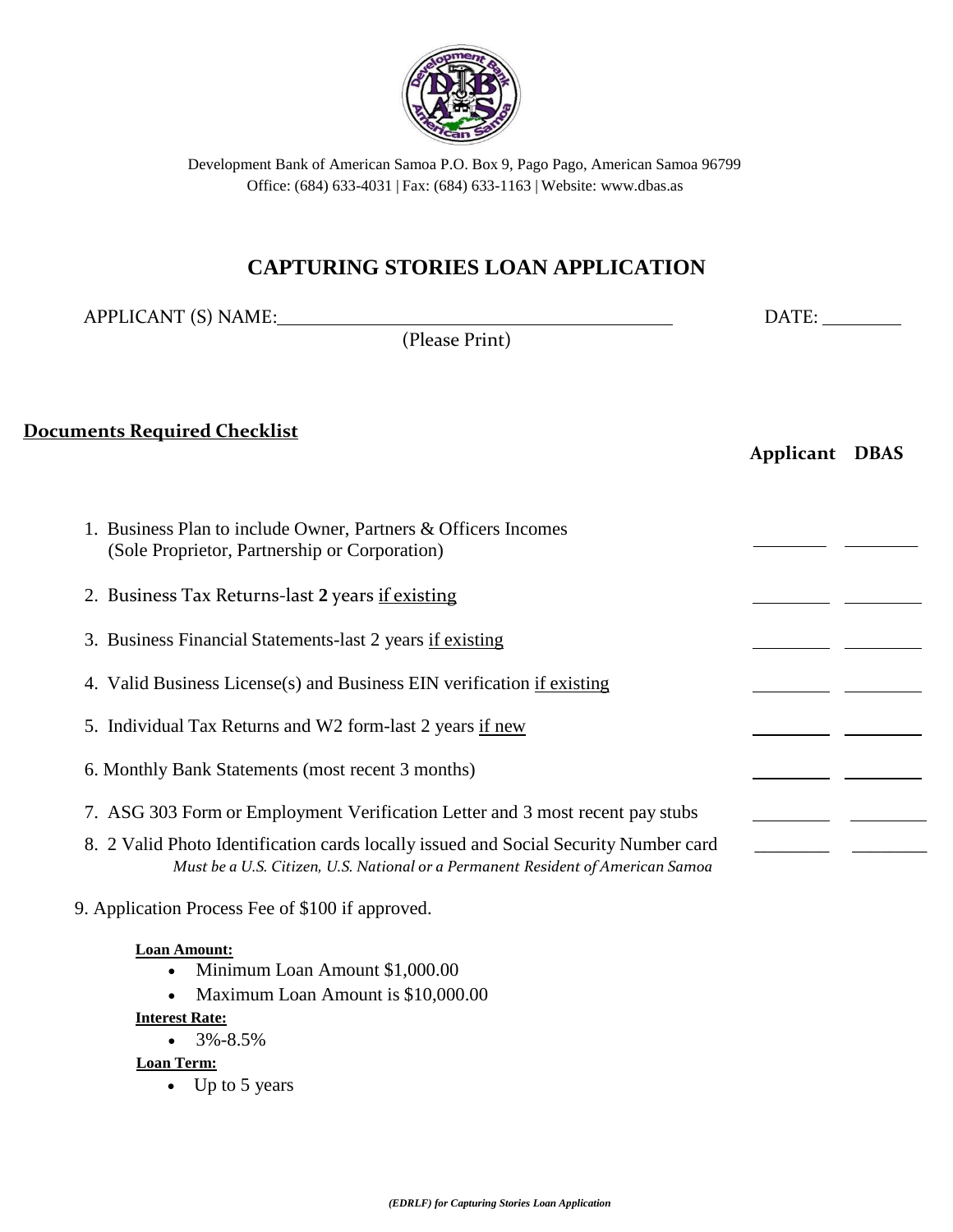

# **CAPTURING STORIES LOAN APPLICATION**

| APPLICANT (S) NAME:                                                                                                                                                     | DATE:<br><b>Applicant DBAS</b> |  |
|-------------------------------------------------------------------------------------------------------------------------------------------------------------------------|--------------------------------|--|
| (Please Print)                                                                                                                                                          |                                |  |
| <b>Documents Required Checklist</b>                                                                                                                                     |                                |  |
| 1. Business Plan to include Owner, Partners & Officers Incomes<br>(Sole Proprietor, Partnership or Corporation)                                                         |                                |  |
| 2. Business Tax Returns-last 2 years if existing                                                                                                                        |                                |  |
| 3. Business Financial Statements-last 2 years if existing                                                                                                               |                                |  |
| 4. Valid Business License(s) and Business EIN verification if existing                                                                                                  |                                |  |
| 5. Individual Tax Returns and W2 form-last 2 years if new                                                                                                               |                                |  |
| 6. Monthly Bank Statements (most recent 3 months)                                                                                                                       |                                |  |
| 7. ASG 303 Form or Employment Verification Letter and 3 most recent pay stubs                                                                                           |                                |  |
| 8. 2 Valid Photo Identification cards locally issued and Social Security Number card<br>Must be a U.S. Citizen, U.S. National or a Permanent Resident of American Samoa |                                |  |
| 9. Application Process Fee of \$100 if approved.                                                                                                                        |                                |  |
| <b>Loan Amount:</b><br>Minimum Loan Amount \$1,000.00<br>Maximum Loan Amount is \$10,000.00<br><b>Interest Rate:</b>                                                    |                                |  |

 $-3\% -8.5\%$ 

**Loan Term:**

• Up to 5 years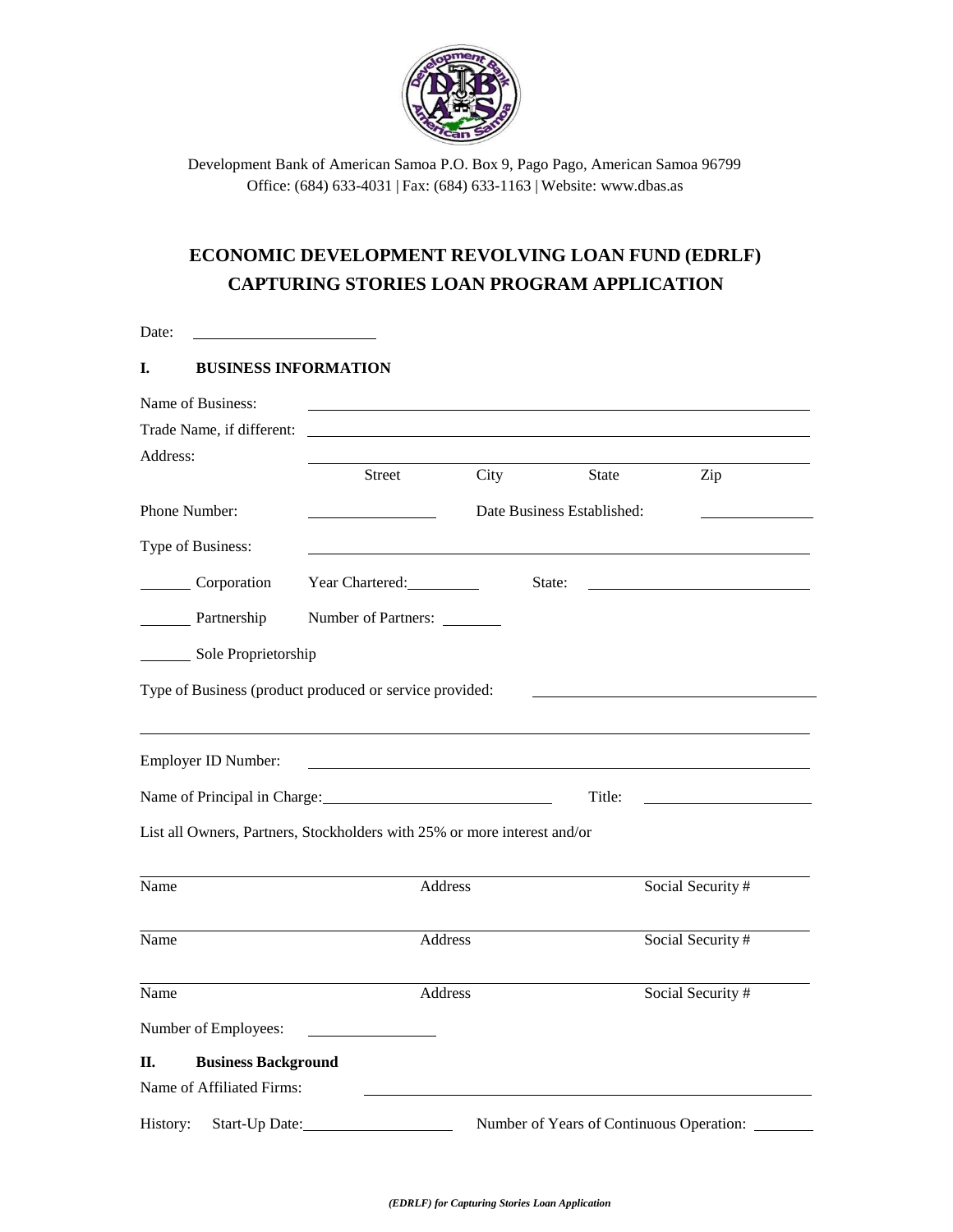

## **ECONOMIC DEVELOPMENT REVOLVING LOAN FUND (EDRLF) CAPTURING STORIES LOAN PROGRAM APPLICATION**

| Date:                            |                                                                          |      |                                          |                   |
|----------------------------------|--------------------------------------------------------------------------|------|------------------------------------------|-------------------|
| I.                               | <b>BUSINESS INFORMATION</b>                                              |      |                                          |                   |
| Name of Business:                |                                                                          |      |                                          |                   |
| Trade Name, if different:        |                                                                          |      |                                          |                   |
| Address:                         |                                                                          |      |                                          |                   |
|                                  | <b>Street</b>                                                            | City | <b>State</b>                             | Zip               |
| Phone Number:                    |                                                                          |      | Date Business Established:               |                   |
| Type of Business:                |                                                                          |      |                                          |                   |
| Corporation                      | Year Chartered:                                                          |      | State:                                   |                   |
| Partnership                      | Number of Partners:                                                      |      |                                          |                   |
| Sole Proprietorship              |                                                                          |      |                                          |                   |
|                                  |                                                                          |      |                                          |                   |
|                                  | Type of Business (product produced or service provided:                  |      |                                          |                   |
|                                  |                                                                          |      |                                          |                   |
| Employer ID Number:              |                                                                          |      |                                          |                   |
|                                  |                                                                          |      |                                          |                   |
|                                  | Name of Principal in Charge: 1986                                        |      | Title:                                   |                   |
|                                  | List all Owners, Partners, Stockholders with 25% or more interest and/or |      |                                          |                   |
|                                  |                                                                          |      |                                          |                   |
| Name                             | Address                                                                  |      |                                          | Social Security # |
| Name                             | Address                                                                  |      |                                          | Social Security # |
|                                  |                                                                          |      |                                          |                   |
| Name                             | Address                                                                  |      |                                          | Social Security # |
| Number of Employees:             |                                                                          |      |                                          |                   |
| <b>Business Background</b><br>Π. |                                                                          |      |                                          |                   |
| Name of Affiliated Firms:        |                                                                          |      |                                          |                   |
| History:<br>Start-Up Date:       |                                                                          |      | Number of Years of Continuous Operation: |                   |
|                                  |                                                                          |      |                                          |                   |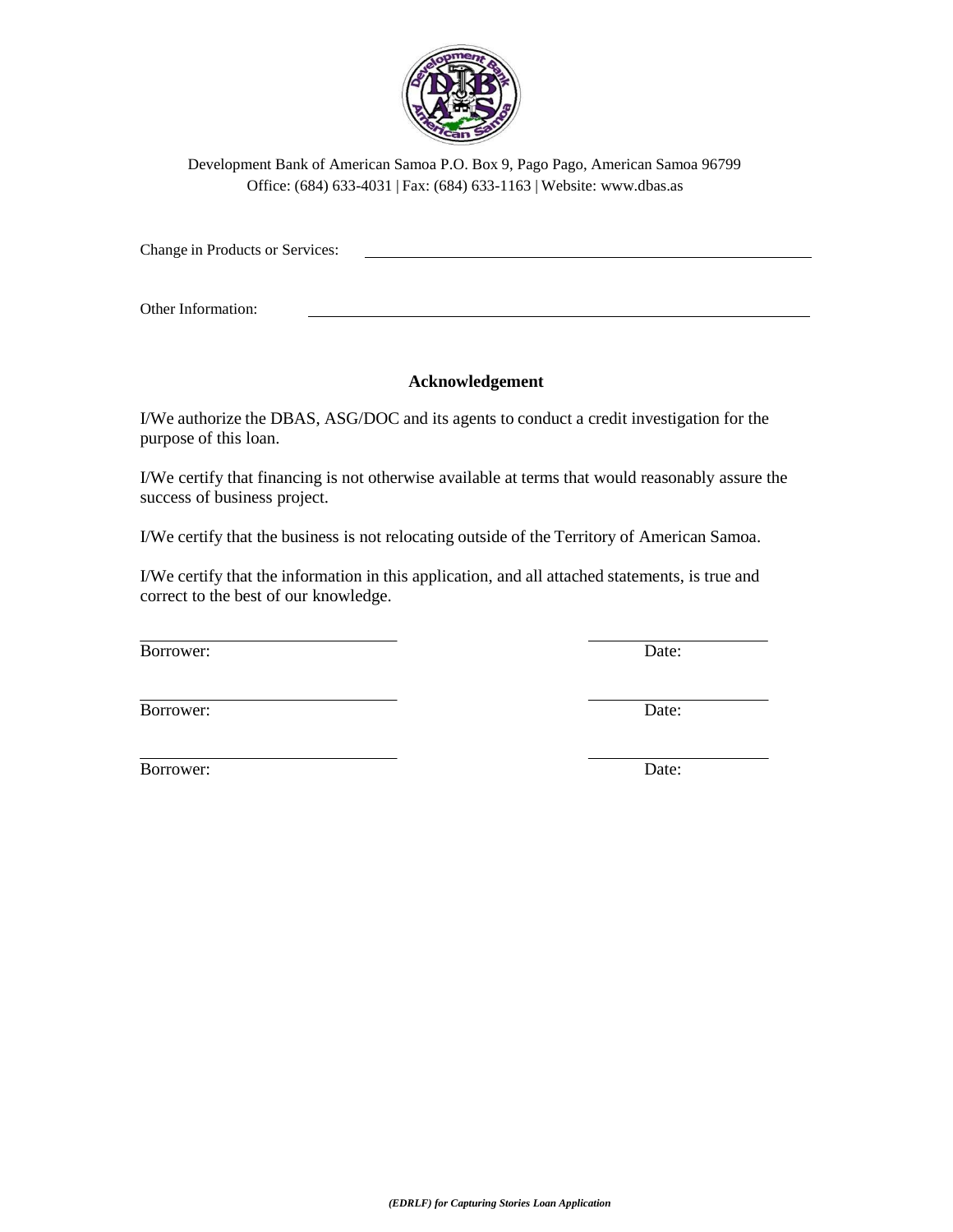

Change in Products or Services:

Other Information:

## **Acknowledgement**

I/We authorize the DBAS, ASG/DOC and its agents to conduct a credit investigation for the purpose of this loan.

I/We certify that financing is not otherwise available at terms that would reasonably assure the success of business project.

I/We certify that the business is not relocating outside of the Territory of American Samoa.

I/We certify that the information in this application, and all attached statements, is true and correct to the best of our knowledge.

Borrower: Date:

Borrower: Date:

Borrower: Date: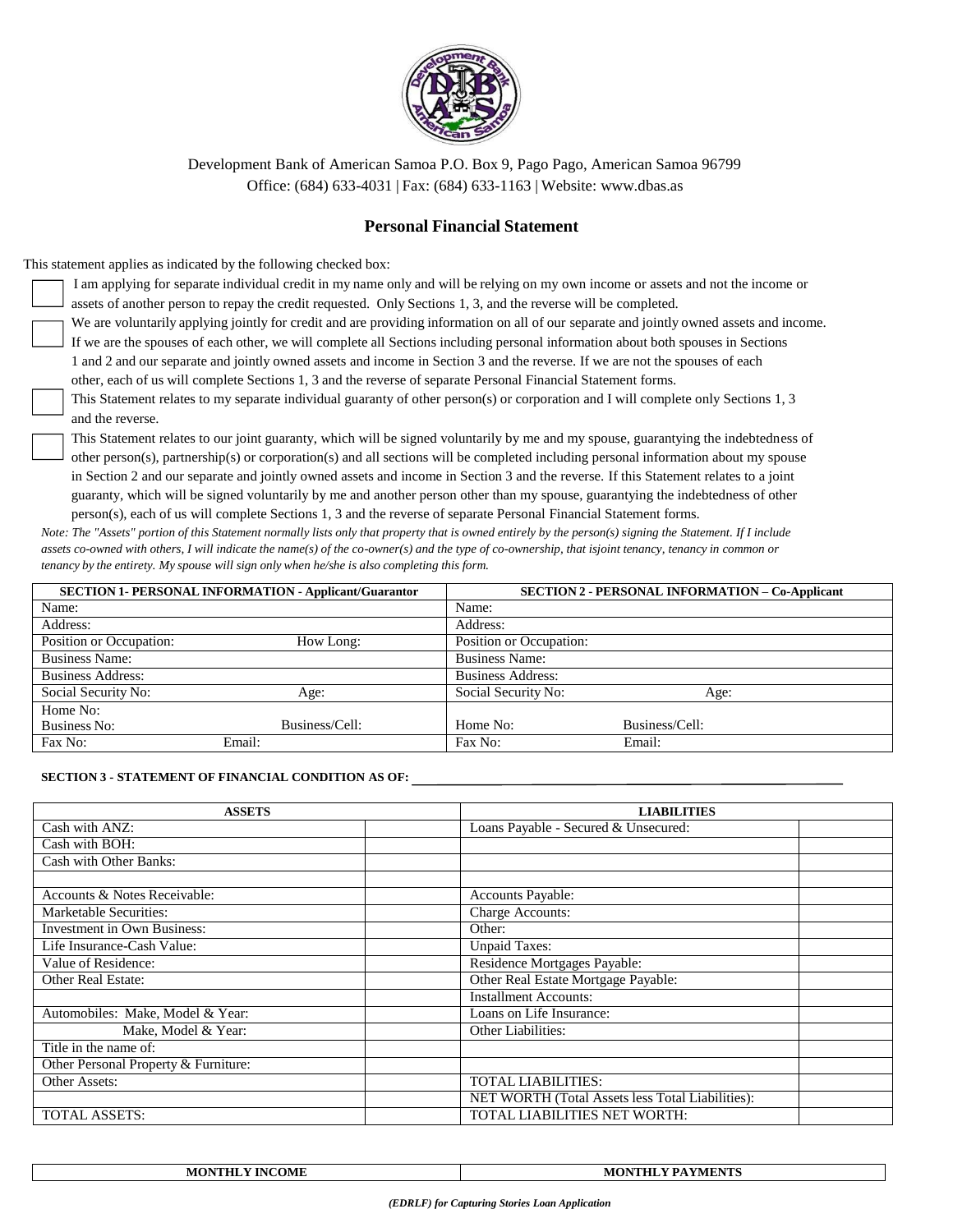

### **Personal Financial Statement**

This statement applies as indicated by the following checked box:

I am applying for separate individual credit in my name only and will be relying on my own income or assets and not the income or assets of another person to repay the credit requested. Only Sections 1, 3, and the reverse will be completed.

We are voluntarily applying jointly for credit and are providing information on all of our separate and jointly owned assets and income.

If we are the spouses of each other, we will complete all Sections including personal information about both spouses in Sections 1 and 2 and our separate and jointly owned assets and income in Section 3 and the reverse. If we are not the spouses of each other, each of us will complete Sections 1, 3 and the reverse of separate Personal Financial Statement forms.

This Statement relates to my separate individual guaranty of other person(s) or corporation and I will complete only Sections 1, 3 and the reverse.

This Statement relates to our joint guaranty, which will be signed voluntarily by me and my spouse, guarantying the indebtedness of other person(s), partnership(s) or corporation(s) and all sections will be completed including personal information about my spouse in Section 2 and our separate and jointly owned assets and income in Section 3 and the reverse. If this Statement relates to a joint guaranty, which will be signed voluntarily by me and another person other than my spouse, guarantying the indebtedness of other person(s), each of us will complete Sections 1, 3 and the reverse of separate Personal Financial Statement forms.

*Note: The "Assets" portion of this Statement normally lists only that property that is owned entirely by the person(s) signing the Statement. If I include assets co-owned with others, I will indicate the name(s) of the co-owner(s) and the type of co-ownership, that isjoint tenancy, tenancy in common or tenancy by the entirety. My spouse will sign only when he/she is also completing this form.*

|                          | <b>SECTION 1- PERSONAL INFORMATION - Applicant/Guarantor</b> |                          | <b>SECTION 2 - PERSONAL INFORMATION - Co-Applicant</b> |
|--------------------------|--------------------------------------------------------------|--------------------------|--------------------------------------------------------|
| Name:                    |                                                              | Name:                    |                                                        |
| Address:                 |                                                              | Address:                 |                                                        |
| Position or Occupation:  | How Long:                                                    | Position or Occupation:  |                                                        |
| <b>Business Name:</b>    |                                                              | <b>Business Name:</b>    |                                                        |
| <b>Business Address:</b> |                                                              | <b>Business Address:</b> |                                                        |
| Social Security No:      | Age:                                                         | Social Security No:      | Age:                                                   |
| Home No:                 |                                                              |                          |                                                        |
| Business No:             | Business/Cell:                                               | Home No:                 | Business/Cell:                                         |
| Fax No:                  | Email:                                                       | Fax No:                  | Email:                                                 |

#### **SECTION 3 - STATEMENT OF FINANCIAL CONDITION AS OF:**

| <b>ASSETS</b>                        | <b>LIABILITIES</b>                               |  |  |  |
|--------------------------------------|--------------------------------------------------|--|--|--|
| Cash with ANZ:                       | Loans Payable - Secured & Unsecured:             |  |  |  |
| Cash with BOH:                       |                                                  |  |  |  |
| Cash with Other Banks:               |                                                  |  |  |  |
|                                      |                                                  |  |  |  |
| Accounts & Notes Receivable:         | Accounts Payable:                                |  |  |  |
| Marketable Securities:               | Charge Accounts:                                 |  |  |  |
| <b>Investment in Own Business:</b>   | Other:                                           |  |  |  |
| Life Insurance-Cash Value:           | <b>Unpaid Taxes:</b>                             |  |  |  |
| Value of Residence:                  | Residence Mortgages Payable:                     |  |  |  |
| <b>Other Real Estate:</b>            | Other Real Estate Mortgage Payable:              |  |  |  |
|                                      | <b>Installment Accounts:</b>                     |  |  |  |
| Automobiles: Make, Model & Year:     | Loans on Life Insurance:                         |  |  |  |
| Make, Model & Year:                  | <b>Other Liabilities:</b>                        |  |  |  |
| Title in the name of:                |                                                  |  |  |  |
| Other Personal Property & Furniture: |                                                  |  |  |  |
| Other Assets:                        | <b>TOTAL LIABILITIES:</b>                        |  |  |  |
|                                      | NET WORTH (Total Assets less Total Liabilities): |  |  |  |
| <b>TOTAL ASSETS:</b>                 | <b>TOTAL LIABILITIES NET WORTH:</b>              |  |  |  |

| <b>INCOME</b> | NTHLY PAYMENTS |
|---------------|----------------|
| <b>MONTH'</b> | <b>MON</b>     |
|               |                |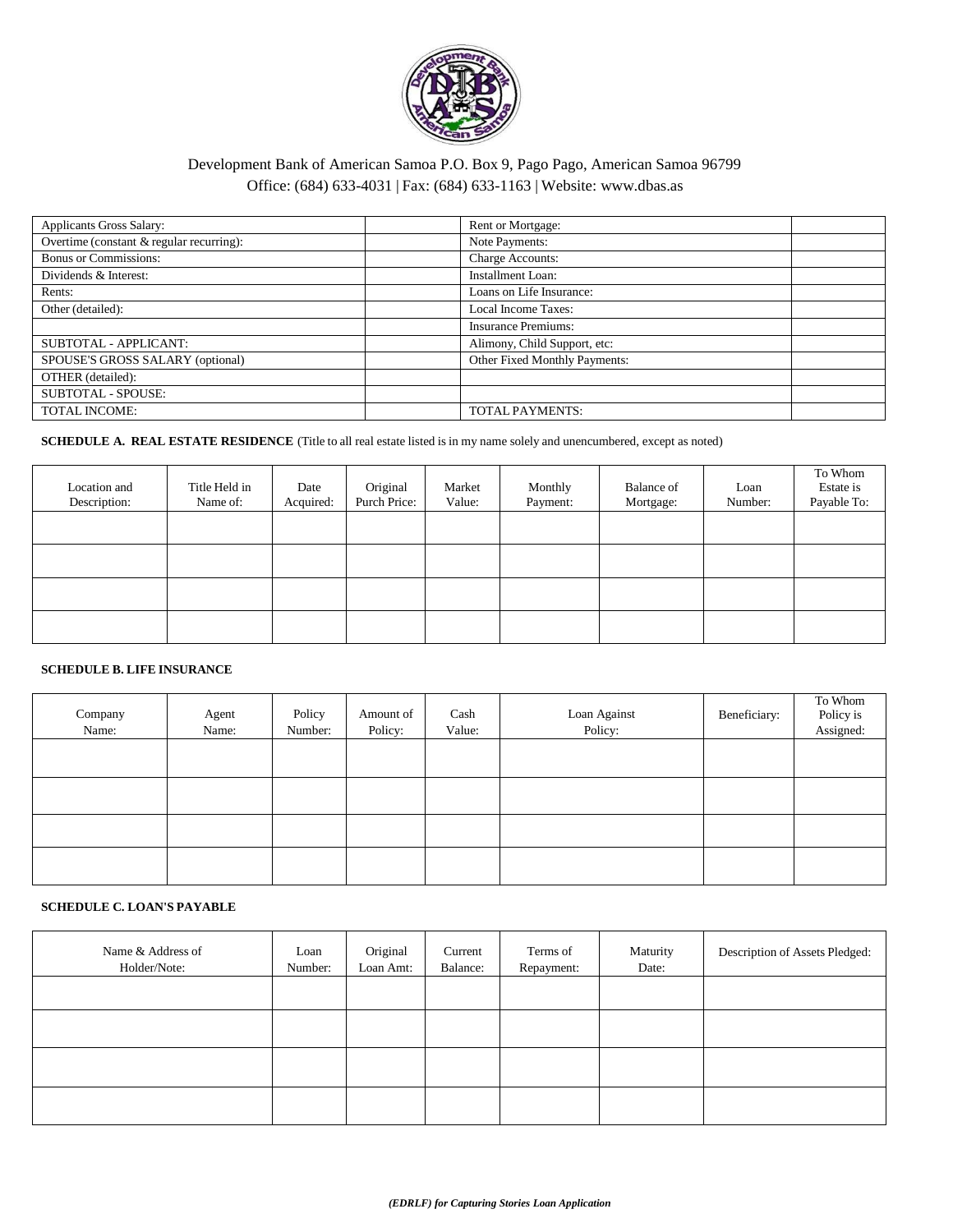

| <b>Applicants Gross Salary:</b>          | Rent or Mortgage:             |
|------------------------------------------|-------------------------------|
| Overtime (constant & regular recurring): | Note Payments:                |
| <b>Bonus or Commissions:</b>             | Charge Accounts:              |
| Dividends & Interest:                    | Installment Loan:             |
| Rents:                                   | Loans on Life Insurance:      |
| Other (detailed):                        | <b>Local Income Taxes:</b>    |
|                                          | <b>Insurance Premiums:</b>    |
| SUBTOTAL - APPLICANT:                    | Alimony, Child Support, etc:  |
| SPOUSE'S GROSS SALARY (optional)         | Other Fixed Monthly Payments: |
| OTHER (detailed):                        |                               |
| <b>SUBTOTAL - SPOUSE:</b>                |                               |
| <b>TOTAL INCOME:</b>                     | <b>TOTAL PAYMENTS:</b>        |

### **SCHEDULE A. REAL ESTATE RESIDENCE** (Title to all real estate listed is in my name solely and unencumbered, except as noted)

| Location and<br>Description: | Title Held in<br>Name of: | Date<br>Acquired: | Original<br>Purch Price: | Market<br>Value: | Monthly<br>Payment: | Balance of<br>Mortgage: | Loan<br>Number: | To Whom<br>Estate is<br>Payable To: |
|------------------------------|---------------------------|-------------------|--------------------------|------------------|---------------------|-------------------------|-----------------|-------------------------------------|
|                              |                           |                   |                          |                  |                     |                         |                 |                                     |
|                              |                           |                   |                          |                  |                     |                         |                 |                                     |
|                              |                           |                   |                          |                  |                     |                         |                 |                                     |
|                              |                           |                   |                          |                  |                     |                         |                 |                                     |

#### **SCHEDULE B. LIFE INSURANCE**

| Company<br>Name: | Agent<br>Name: | Policy<br>Number: | Amount of<br>Policy: | Cash<br>Value: | Loan Against<br>Policy: | Beneficiary: | To Whom<br>Policy is<br>Assigned: |
|------------------|----------------|-------------------|----------------------|----------------|-------------------------|--------------|-----------------------------------|
|                  |                |                   |                      |                |                         |              |                                   |
|                  |                |                   |                      |                |                         |              |                                   |
|                  |                |                   |                      |                |                         |              |                                   |
|                  |                |                   |                      |                |                         |              |                                   |

#### **SCHEDULE C. LOAN'S PAYABLE**

| Name & Address of<br>Holder/Note: | Loan<br>Number: | Original<br>Loan Amt: | Current<br>Balance: | Terms of<br>Repayment: | Maturity<br>Date: | Description of Assets Pledged: |
|-----------------------------------|-----------------|-----------------------|---------------------|------------------------|-------------------|--------------------------------|
|                                   |                 |                       |                     |                        |                   |                                |
|                                   |                 |                       |                     |                        |                   |                                |
|                                   |                 |                       |                     |                        |                   |                                |
|                                   |                 |                       |                     |                        |                   |                                |